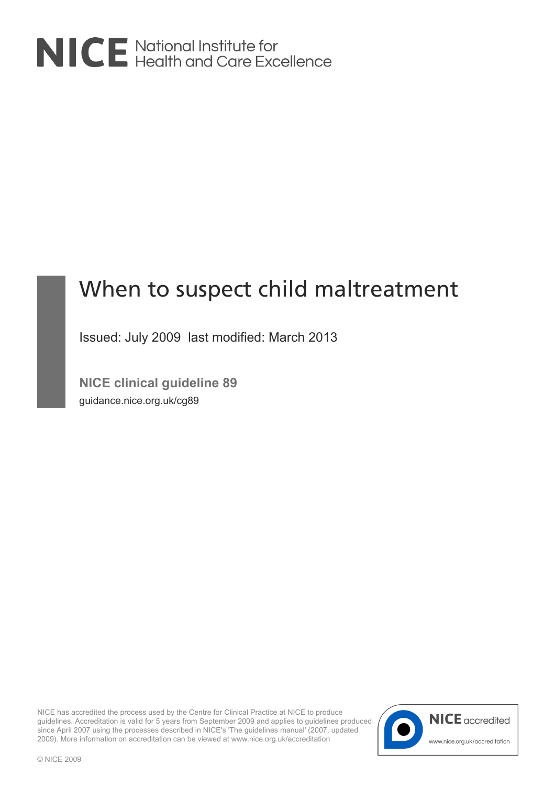

# When to suspect child maltreatment

Issued: July 2009 last modified: March 2013

**NICE clinical guideline 89** guidance.nice.org.uk/cg89

NICE has accredited the process used by the Centre for Clinical Practice at NICE to produce guidelines. Accreditation is valid for 5 years from September 2009 and applies to guidelines produced since April 2007 using the processes described in NICE's 'The guidelines manual' (2007, updated 2009). More information on accreditation can be viewed at www.nice.org.uk/accreditation

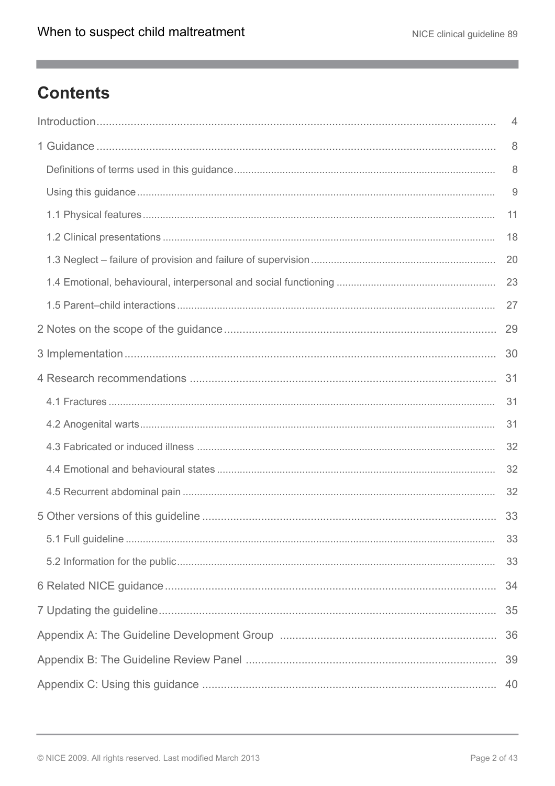$\mathcal{L}_{\mathcal{A}}$ 

# **Contents**

| 4  |
|----|
| 8  |
| 8  |
| 9  |
| 11 |
| 18 |
| 20 |
| 23 |
| 27 |
|    |
| 30 |
| 31 |
| 31 |
| 31 |
| 32 |
| 32 |
| 32 |
| 33 |
| 33 |
| 33 |
| 34 |
| 35 |
|    |
|    |
| 40 |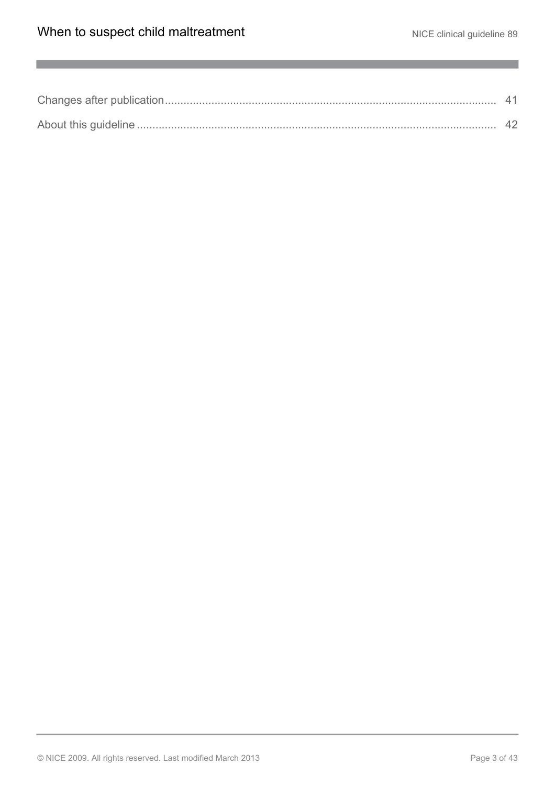$\mathcal{L}^{\mathcal{L}}$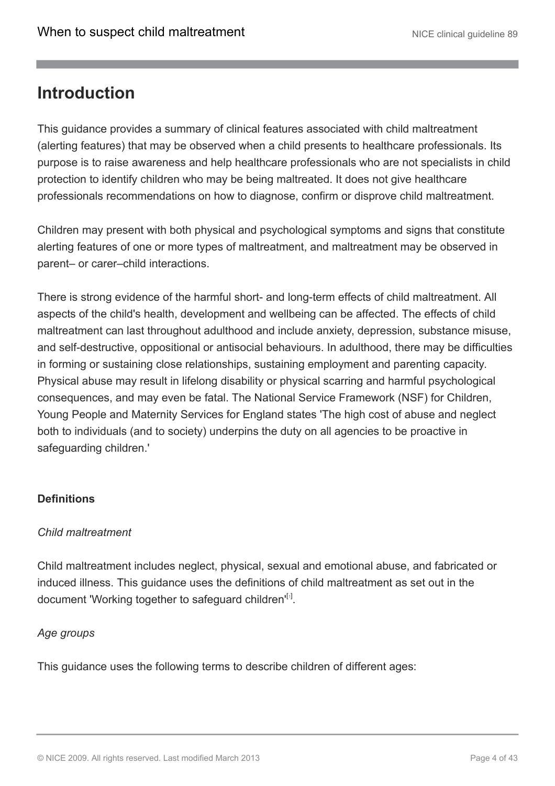# <span id="page-3-0"></span>**Introduction**

This guidance provides a summary of clinical features associated with child maltreatment (alerting features) that may be observed when a child presents to healthcare professionals. Its purpose is to raise awareness and help healthcare professionals who are not specialists in child protection to identify children who may be being maltreated. It does not give healthcare professionals recommendations on how to diagnose, confirm or disprove child maltreatment.

Children may present with both physical and psychological symptoms and signs that constitute alerting features of one or more types of maltreatment, and maltreatment may be observed in parent– or carer–child interactions.

There is strong evidence of the harmful short- and long-term effects of child maltreatment. All aspects of the child's health, development and wellbeing can be affected. The effects of child maltreatment can last throughout adulthood and include anxiety, depression, substance misuse, and self-destructive, oppositional or antisocial behaviours. In adulthood, there may be difficulties in forming or sustaining close relationships, sustaining employment and parenting capacity. Physical abuse may result in lifelong disability or physical scarring and harmful psychological consequences, and may even be fatal. The National Service Framework (NSF) for Children, Young People and Maternity Services for England states 'The high cost of abuse and neglect both to individuals (and to society) underpins the duty on all agencies to be proactive in safeguarding children.'

### **Definitions**

#### *Child maltreatment*

Child maltreatment includes neglect, physical, sexual and emotional abuse, and fabricated or induced illness. This guidance uses the definitions of child maltreatment as set out in the document 'Working together to safeguard children'<sup>[[1](#page-6-0)]</sup>.

#### <span id="page-3-1"></span>*Age groups*

This guidance uses the following terms to describe children of different ages: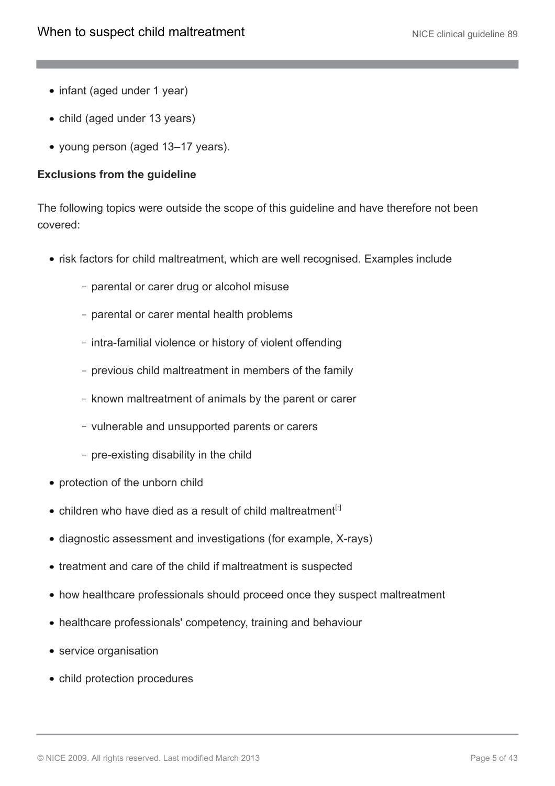- infant (aged under 1 year)
- child (aged under 13 years)
- young person (aged 13–17 years).

#### **Exclusions from the guideline**

The following topics were outside the scope of this guideline and have therefore not been covered:

- risk factors for child maltreatment, which are well recognised. Examples include
	- parental or carer drug or alcohol misuse
	- parental or carer mental health problems
	- intra-familial violence or history of violent offending
	- previous child maltreatment in members of the family
	- known maltreatment of animals by the parent or carer
	- vulnerable and unsupported parents or carers
	- pre-existing disability in the child
- protection of the unborn child
- <span id="page-4-0"></span>• children who have died as a result of child maltreatment<sup>[[2](#page-6-1)]</sup>
- diagnostic assessment and investigations (for example, X-rays)
- treatment and care of the child if maltreatment is suspected
- how healthcare professionals should proceed once they suspect maltreatment
- healthcare professionals' competency, training and behaviour
- service organisation
- child protection procedures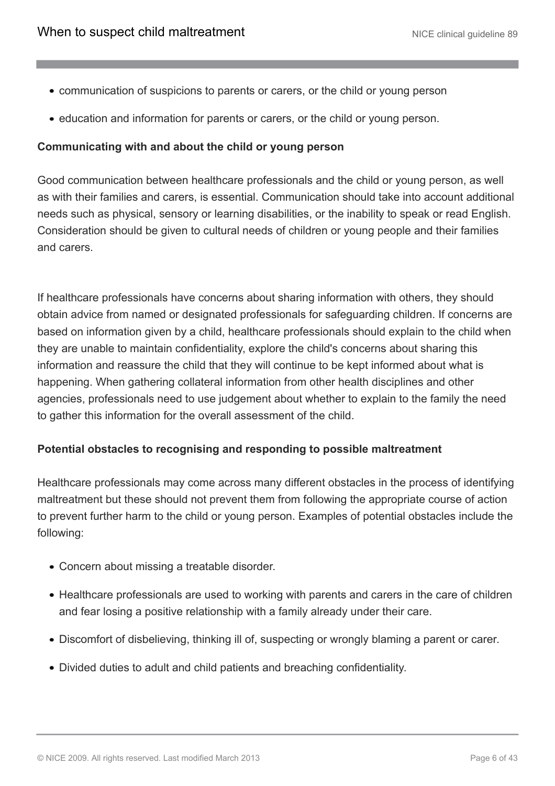- communication of suspicions to parents or carers, or the child or young person
- education and information for parents or carers, or the child or young person.

#### **Communicating with and about the child or young person**

Good communication between healthcare professionals and the child or young person, as well as with their families and carers, is essential. Communication should take into account additional needs such as physical, sensory or learning disabilities, or the inability to speak or read English. Consideration should be given to cultural needs of children or young people and their families and carers.

If healthcare professionals have concerns about sharing information with others, they should obtain advice from named or designated professionals for safeguarding children. If concerns are based on information given by a child, healthcare professionals should explain to the child when they are unable to maintain confidentiality, explore the child's concerns about sharing this information and reassure the child that they will continue to be kept informed about what is happening. When gathering collateral information from other health disciplines and other agencies, professionals need to use judgement about whether to explain to the family the need to gather this information for the overall assessment of the child.

#### **Potential obstacles to recognising and responding to possible maltreatment**

Healthcare professionals may come across many different obstacles in the process of identifying maltreatment but these should not prevent them from following the appropriate course of action to prevent further harm to the child or young person. Examples of potential obstacles include the following:

- Concern about missing a treatable disorder.
- Healthcare professionals are used to working with parents and carers in the care of children and fear losing a positive relationship with a family already under their care.
- Discomfort of disbelieving, thinking ill of, suspecting or wrongly blaming a parent or carer.
- Divided duties to adult and child patients and breaching confidentiality.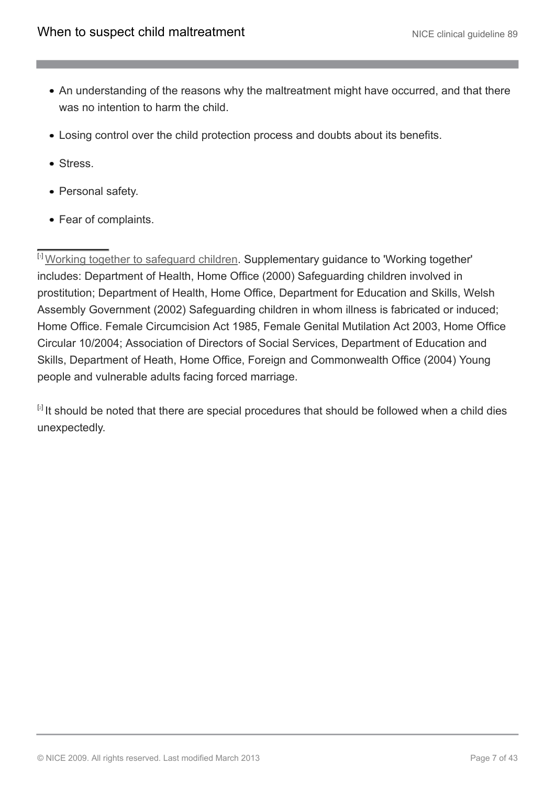- An understanding of the reasons why the maltreatment might have occurred, and that there was no intention to harm the child.
- Losing control over the child protection process and doubts about its benefits.
- Stress.
- Personal safety.
- Fear of complaints.

<span id="page-6-0"></span>[[1](#page-3-1)] [Working together to safeguard children.](http://www.dcsf.gov.uk/everychildmatters/safeguardingandsocialcare/safeguardingchildren/workingtogether/workingtogethertosafeguardchildren) Supplementary guidance to 'Working together' includes: Department of Health, Home Office (2000) Safeguarding children involved in prostitution; Department of Health, Home Office, Department for Education and Skills, Welsh Assembly Government (2002) Safeguarding children in whom illness is fabricated or induced; Home Office. Female Circumcision Act 1985, Female Genital Mutilation Act 2003, Home Office Circular 10/2004; Association of Directors of Social Services, Department of Education and Skills, Department of Heath, Home Office, Foreign and Commonwealth Office (2004) Young people and vulnerable adults facing forced marriage.

<span id="page-6-1"></span> $[2]$  $[2]$  $[2]$  It should be noted that there are special procedures that should be followed when a child dies unexpectedly.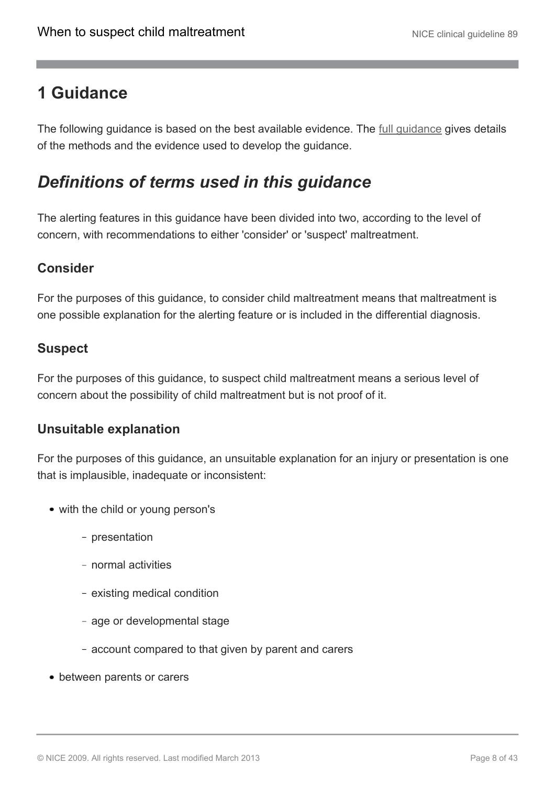# <span id="page-7-0"></span>**1 Guidance**

The following guidance is based on the best available evidence. The [full guidance](http://www.nice.org.uk/CG89fullguideline) gives details of the methods and the evidence used to develop the guidance.

# <span id="page-7-1"></span>*Definitions of terms used in this guidance*

The alerting features in this guidance have been divided into two, according to the level of concern, with recommendations to either 'consider' or 'suspect' maltreatment.

## **Consider**

For the purposes of this guidance, to consider child maltreatment means that maltreatment is one possible explanation for the alerting feature or is included in the differential diagnosis.

### **Suspect**

For the purposes of this guidance, to suspect child maltreatment means a serious level of concern about the possibility of child maltreatment but is not proof of it.

### **Unsuitable explanation**

For the purposes of this guidance, an unsuitable explanation for an injury or presentation is one that is implausible, inadequate or inconsistent:

- with the child or young person's
	- presentation
	- normal activities
	- existing medical condition
	- age or developmental stage
	- account compared to that given by parent and carers
- between parents or carers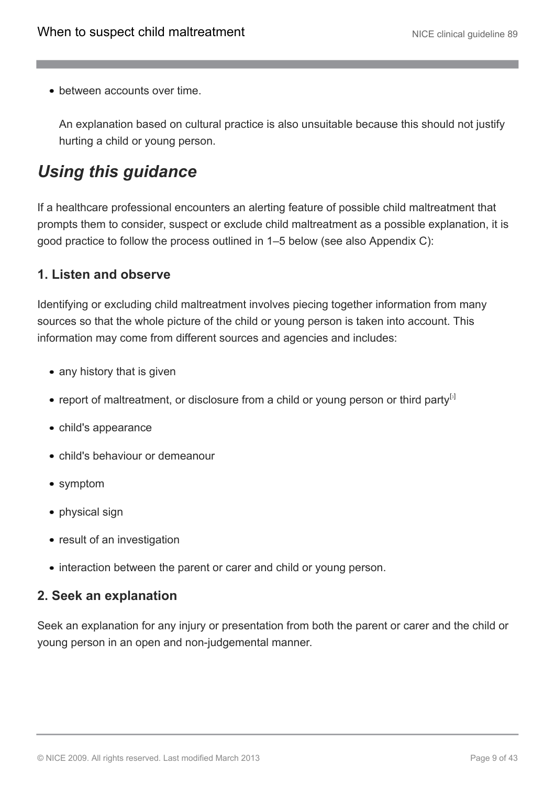• between accounts over time.

An explanation based on cultural practice is also unsuitable because this should not justify hurting a child or young person.

# <span id="page-8-0"></span>*Using this guidance*

If a healthcare professional encounters an alerting feature of possible child maltreatment that prompts them to consider, suspect or exclude child maltreatment as a possible explanation, it is good practice to follow the process outlined in 1–5 below (see also Appendix C):

## **1. Listen and observe**

Identifying or excluding child maltreatment involves piecing together information from many sources so that the whole picture of the child or young person is taken into account. This information may come from different sources and agencies and includes:

- any history that is given
- <span id="page-8-1"></span>• report of maltreatment, or disclosure from a child or young person or third party  $\mathbb{S}^1$
- child's appearance
- child's behaviour or demeanour
- symptom
- physical sign
- result of an investigation
- interaction between the parent or carer and child or young person.

### **2. Seek an explanation**

Seek an explanation for any injury or presentation from both the parent or carer and the child or young person in an open and non-judgemental manner.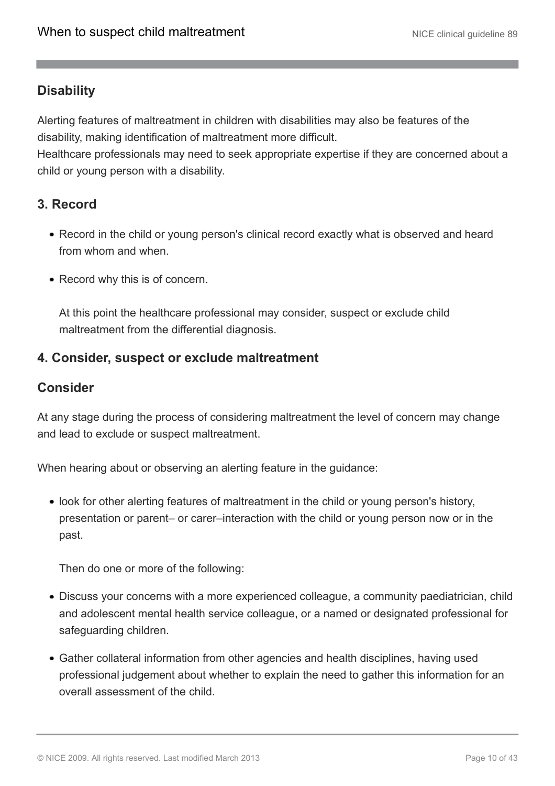## **Disability**

Alerting features of maltreatment in children with disabilities may also be features of the disability, making identification of maltreatment more difficult.

Healthcare professionals may need to seek appropriate expertise if they are concerned about a child or young person with a disability.

## **3. Record**

- Record in the child or young person's clinical record exactly what is observed and heard from whom and when.
- Record why this is of concern.

At this point the healthcare professional may consider, suspect or exclude child maltreatment from the differential diagnosis.

### **4. Consider, suspect or exclude maltreatment**

### **Consider**

At any stage during the process of considering maltreatment the level of concern may change and lead to exclude or suspect maltreatment.

When hearing about or observing an alerting feature in the guidance:

• look for other alerting features of maltreatment in the child or young person's history, presentation or parent– or carer–interaction with the child or young person now or in the past.

Then do one or more of the following:

- Discuss your concerns with a more experienced colleague, a community paediatrician, child and adolescent mental health service colleague, or a named or designated professional for safeguarding children.
- Gather collateral information from other agencies and health disciplines, having used professional judgement about whether to explain the need to gather this information for an overall assessment of the child.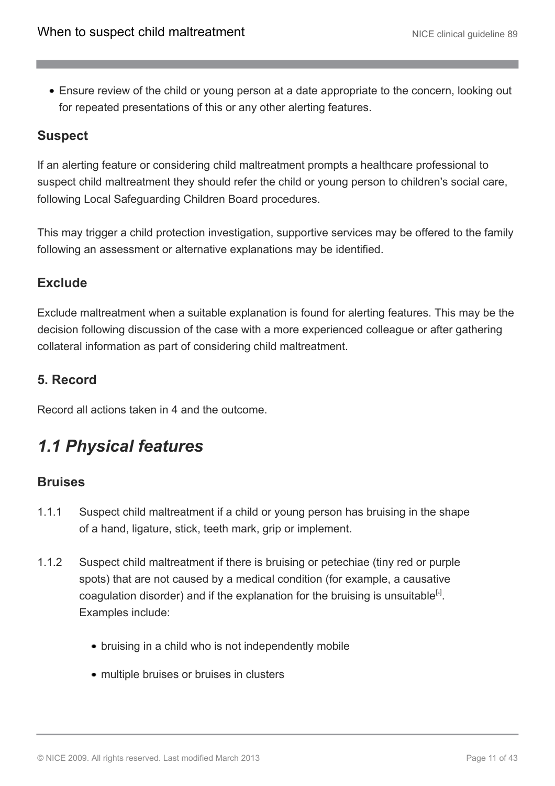Ensure review of the child or young person at a date appropriate to the concern, looking out for repeated presentations of this or any other alerting features.

## **Suspect**

If an alerting feature or considering child maltreatment prompts a healthcare professional to suspect child maltreatment they should refer the child or young person to children's social care, following Local Safeguarding Children Board procedures.

This may trigger a child protection investigation, supportive services may be offered to the family following an assessment or alternative explanations may be identified.

### **Exclude**

Exclude maltreatment when a suitable explanation is found for alerting features. This may be the decision following discussion of the case with a more experienced colleague or after gathering collateral information as part of considering child maltreatment.

## **5. Record**

Record all actions taken in 4 and the outcome.

# <span id="page-10-0"></span>*1.1 Physical features*

### **Bruises**

- 1.1.1 Suspect child maltreatment if a child or young person has bruising in the shape of a hand, ligature, stick, teeth mark, grip or implement.
- <span id="page-10-1"></span>1.1.2 Suspect child maltreatment if there is bruising or petechiae (tiny red or purple spots) that are not caused by a medical condition (for example, a causative coagulation disorder) and if the explanation for the bruising is unsuitable $^{[4]}$  $^{[4]}$  $^{[4]}$ . Examples include:
	- bruising in a child who is not independently mobile
	- multiple bruises or bruises in clusters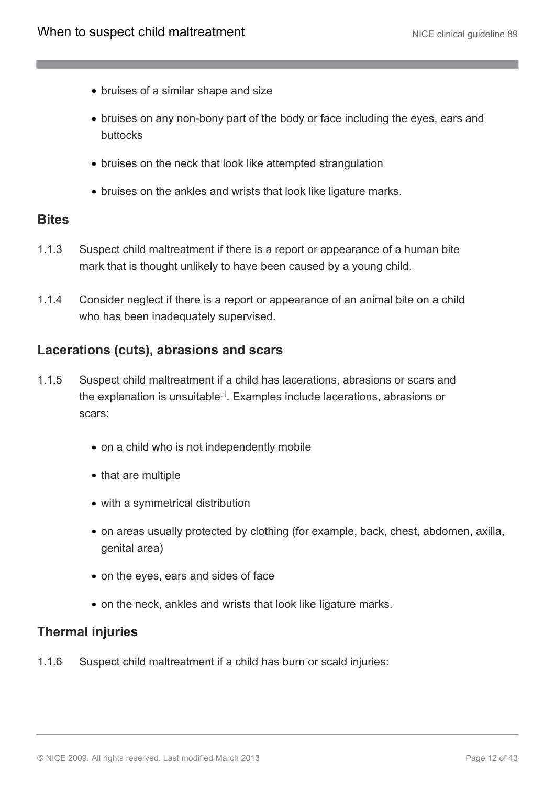- bruises of a similar shape and size
- bruises on any non-bony part of the body or face including the eyes, ears and buttocks
- bruises on the neck that look like attempted strangulation
- bruises on the ankles and wrists that look like ligature marks.

### **Bites**

- 1.1.3 Suspect child maltreatment if there is a report or appearance of a human bite mark that is thought unlikely to have been caused by a young child.
- 1.1.4 Consider neglect if there is a report or appearance of an animal bite on a child who has been inadequately supervised.

### **Lacerations (cuts), abrasions and scars**

- 1.1.5 Suspect child maltreatment if a child has lacerations, abrasions or scars and the explanation is unsuitable<sup>[[4](#page-27-1)]</sup>. Examples include lacerations, abrasions or scars:
	- on a child who is not independently mobile
	- that are multiple
	- with a symmetrical distribution
	- on areas usually protected by clothing (for example, back, chest, abdomen, axilla, genital area)
	- on the eyes, ears and sides of face
	- on the neck, ankles and wrists that look like ligature marks.

### **Thermal injuries**

1.1.6 Suspect child maltreatment if a child has burn or scald injuries: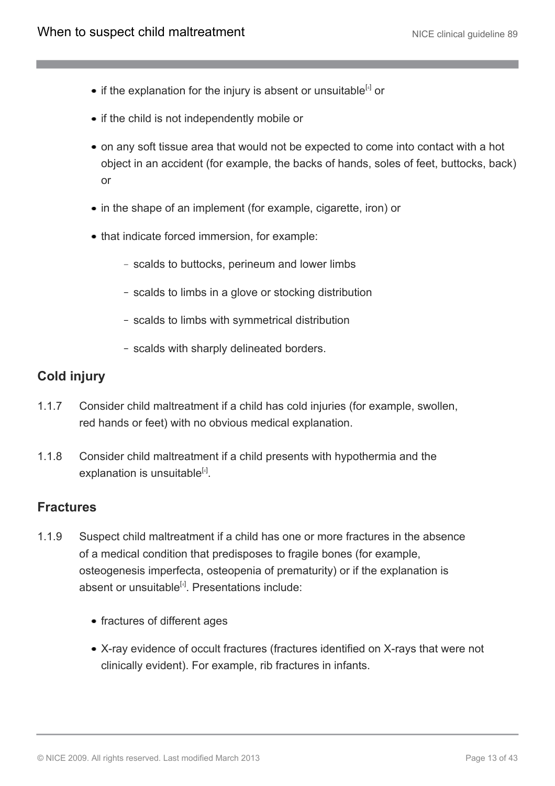- if the explanation for the injury is absent or unsuitable $^{[4]}$  $^{[4]}$  $^{[4]}$  or
- if the child is not independently mobile or
- on any soft tissue area that would not be expected to come into contact with a hot object in an accident (for example, the backs of hands, soles of feet, buttocks, back) or
- in the shape of an implement (for example, cigarette, iron) or
- that indicate forced immersion, for example:
	- scalds to buttocks, perineum and lower limbs
	- scalds to limbs in a glove or stocking distribution
	- scalds to limbs with symmetrical distribution
	- scalds with sharply delineated borders.

### **Cold injury**

- 1.1.7 Consider child maltreatment if a child has cold injuries (for example, swollen, red hands or feet) with no obvious medical explanation.
- 1.1.8 Consider child maltreatment if a child presents with hypothermia and the explanation is unsuitable<sup>[[4](#page-27-1)]</sup>.

### **Fractures**

- 1.1.9 Suspect child maltreatment if a child has one or more fractures in the absence of a medical condition that predisposes to fragile bones (for example, osteogenesis imperfecta, osteopenia of prematurity) or if the explanation is absent or unsuitable<sup>[[4](#page-27-1)]</sup>. Presentations include:
	- fractures of different ages
	- X-ray evidence of occult fractures (fractures identified on X-rays that were not clinically evident). For example, rib fractures in infants.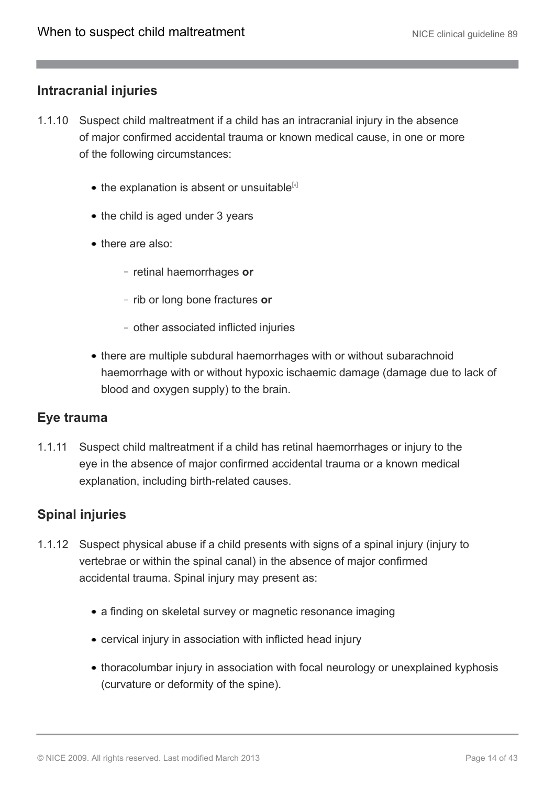### **Intracranial injuries**

- 1.1.10 Suspect child maltreatment if a child has an intracranial injury in the absence of major confirmed accidental trauma or known medical cause, in one or more of the following circumstances:
	- $\bullet$  the explanation is absent or unsuitable<sup>[[4](#page-27-1)]</sup>
	- the child is aged under 3 years
	- there are also:
		- retinal haemorrhages or
		- rib or long bone fractures or
		- other associated inflicted injuries
	- there are multiple subdural haemorrhages with or without subarachnoid haemorrhage with or without hypoxic ischaemic damage (damage due to lack of blood and oxygen supply) to the brain.

#### **Eye trauma**

1.1.11 Suspect child maltreatment if a child has retinal haemorrhages or injury to the eye in the absence of major confirmed accidental trauma or a known medical explanation, including birth-related causes.

### **Spinal injuries**

- 1.1.12 Suspect physical abuse if a child presents with signs of a spinal injury (injury to vertebrae or within the spinal canal) in the absence of major confirmed accidental trauma. Spinal injury may present as:
	- a finding on skeletal survey or magnetic resonance imaging
	- cervical injury in association with inflicted head injury
	- thoracolumbar injury in association with focal neurology or unexplained kyphosis (curvature or deformity of the spine).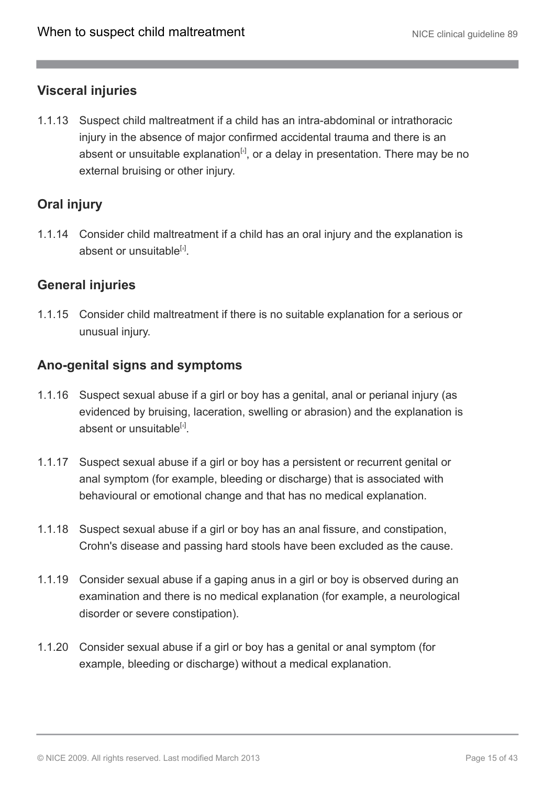## **Visceral injuries**

1.1.13 Suspect child maltreatment if a child has an intra-abdominal or intrathoracic injury in the absence of major confirmed accidental trauma and there is an absent or unsuitable explanation<sup>[[4](#page-27-1)]</sup>, or a delay in presentation. There may be no external bruising or other injury.

# **Oral injury**

1.1.14 Consider child maltreatment if a child has an oral injury and the explanation is absent or unsuitable<sup>[[4](#page-27-1)]</sup>.

### **General injuries**

1.1.15 Consider child maltreatment if there is no suitable explanation for a serious or unusual injury.

### **Ano-genital signs and symptoms**

- 1.1.16 Suspect sexual abuse if a girl or boy has a genital, anal or perianal injury (as evidenced by bruising, laceration, swelling or abrasion) and the explanation is absent or unsuitable<sup>[[4](#page-27-1)]</sup>.
- 1.1.17 Suspect sexual abuse if a girl or boy has a persistent or recurrent genital or anal symptom (for example, bleeding or discharge) that is associated with behavioural or emotional change and that has no medical explanation.
- 1.1.18 Suspect sexual abuse if a girl or boy has an anal fissure, and constipation, Crohn's disease and passing hard stools have been excluded as the cause.
- 1.1.19 Consider sexual abuse if a gaping anus in a girl or boy is observed during an examination and there is no medical explanation (for example, a neurological disorder or severe constipation).
- 1.1.20 Consider sexual abuse if a girl or boy has a genital or anal symptom (for example, bleeding or discharge) without a medical explanation.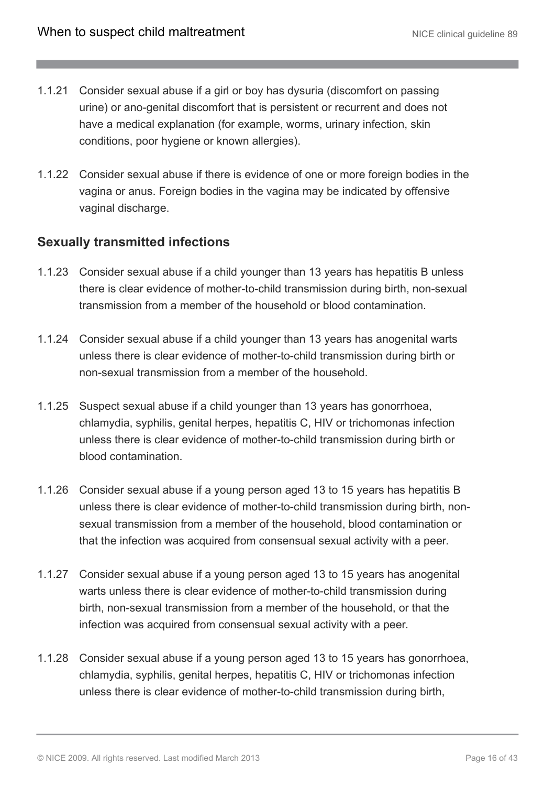- 1.1.21 Consider sexual abuse if a girl or boy has dysuria (discomfort on passing urine) or ano-genital discomfort that is persistent or recurrent and does not have a medical explanation (for example, worms, urinary infection, skin conditions, poor hygiene or known allergies).
- 1.1.22 Consider sexual abuse if there is evidence of one or more foreign bodies in the vagina or anus. Foreign bodies in the vagina may be indicated by offensive vaginal discharge.

## **Sexually transmitted infections**

- 1.1.23 Consider sexual abuse if a child younger than 13 years has hepatitis B unless there is clear evidence of mother-to-child transmission during birth, non-sexual transmission from a member of the household or blood contamination.
- 1.1.24 Consider sexual abuse if a child younger than 13 years has anogenital warts unless there is clear evidence of mother-to-child transmission during birth or non-sexual transmission from a member of the household.
- 1.1.25 Suspect sexual abuse if a child younger than 13 years has gonorrhoea, chlamydia, syphilis, genital herpes, hepatitis C, HIV or trichomonas infection unless there is clear evidence of mother-to-child transmission during birth or blood contamination.
- 1.1.26 Consider sexual abuse if a young person aged 13 to 15 years has hepatitis B unless there is clear evidence of mother-to-child transmission during birth, nonsexual transmission from a member of the household, blood contamination or that the infection was acquired from consensual sexual activity with a peer.
- 1.1.27 Consider sexual abuse if a young person aged 13 to 15 years has anogenital warts unless there is clear evidence of mother-to-child transmission during birth, non-sexual transmission from a member of the household, or that the infection was acquired from consensual sexual activity with a peer.
- 1.1.28 Consider sexual abuse if a young person aged 13 to 15 years has gonorrhoea, chlamydia, syphilis, genital herpes, hepatitis C, HIV or trichomonas infection unless there is clear evidence of mother-to-child transmission during birth,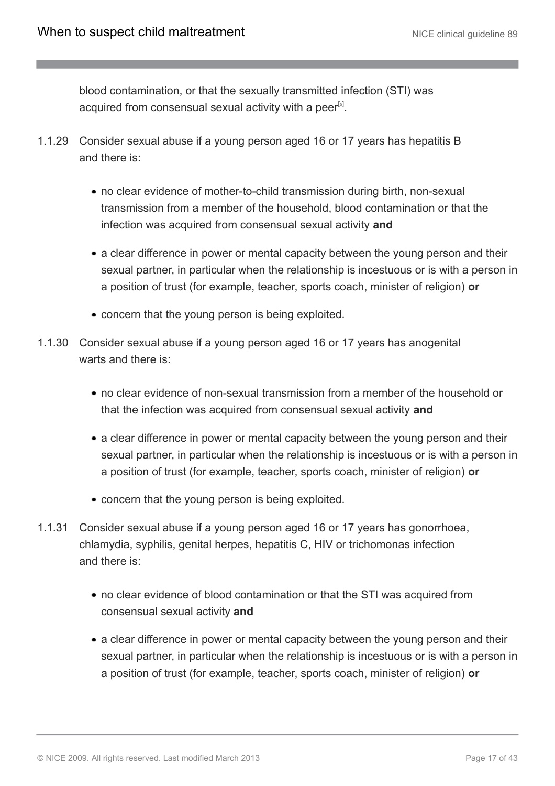blood contamination, or that the sexually transmitted infection (STI) was acquired from consensual sexual activity with a peer<sup>[[5](#page-27-2)]</sup>.

- <span id="page-16-0"></span>1.1.29 Consider sexual abuse if a young person aged 16 or 17 years has hepatitis B and there is:
	- no clear evidence of mother-to-child transmission during birth, non-sexual transmission from a member of the household, blood contamination or that the infection was acquired from consensual sexual activity **and**
	- a clear difference in power or mental capacity between the young person and their sexual partner, in particular when the relationship is incestuous or is with a person in a position of trust (for example, teacher, sports coach, minister of religion) **or**
	- concern that the young person is being exploited.
- 1.1.30 Consider sexual abuse if a young person aged 16 or 17 years has anogenital warts and there is:
	- no clear evidence of non-sexual transmission from a member of the household or that the infection was acquired from consensual sexual activity **and**
	- a clear difference in power or mental capacity between the young person and their sexual partner, in particular when the relationship is incestuous or is with a person in a position of trust (for example, teacher, sports coach, minister of religion) **or**
	- concern that the young person is being exploited.
- 1.1.31 Consider sexual abuse if a young person aged 16 or 17 years has gonorrhoea, chlamydia, syphilis, genital herpes, hepatitis C, HIV or trichomonas infection and there is:
	- no clear evidence of blood contamination or that the STI was acquired from consensual sexual activity **and**
	- a clear difference in power or mental capacity between the young person and their sexual partner, in particular when the relationship is incestuous or is with a person in a position of trust (for example, teacher, sports coach, minister of religion) **or**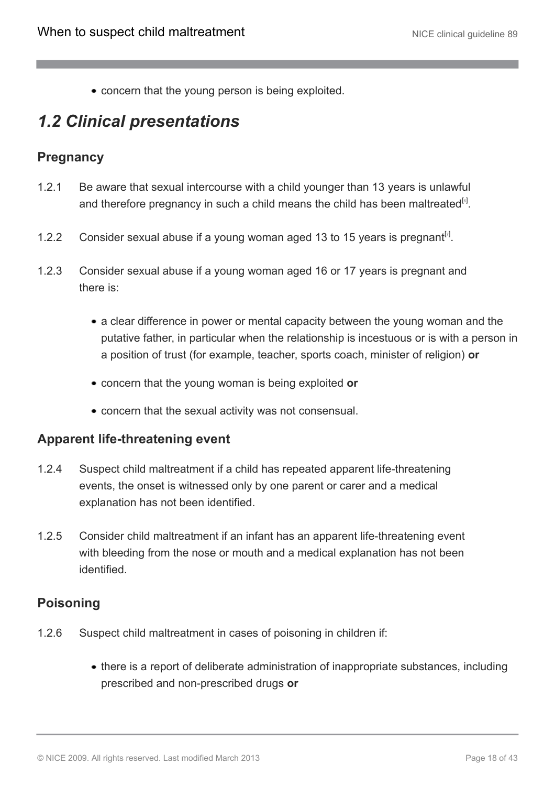concern that the young person is being exploited.

# <span id="page-17-0"></span>*1.2 Clinical presentations*

### **Pregnancy**

- <span id="page-17-1"></span>1.2.1 Be aware that sexual intercourse with a child younger than 13 years is unlawful and therefore pregnancy in such a child means the child has been maltreated $[6]$  $[6]$  $[6]$ .
- <span id="page-17-2"></span>1.2.2 Consider sexual abuse if a young woman aged 13 to 15 years is pregnant<sup>[[7](#page-27-4)]</sup>.
- 1.2.3 Consider sexual abuse if a young woman aged 16 or 17 years is pregnant and there is:
	- a clear difference in power or mental capacity between the young woman and the putative father, in particular when the relationship is incestuous or is with a person in a position of trust (for example, teacher, sports coach, minister of religion) **or**
	- concern that the young woman is being exploited **or**
	- concern that the sexual activity was not consensual.

#### **Apparent life-threatening event**

- 1.2.4 Suspect child maltreatment if a child has repeated apparent life-threatening events, the onset is witnessed only by one parent or carer and a medical explanation has not been identified.
- 1.2.5 Consider child maltreatment if an infant has an apparent life-threatening event with bleeding from the nose or mouth and a medical explanation has not been identified.

### **Poisoning**

- 1.2.6 Suspect child maltreatment in cases of poisoning in children if:
	- there is a report of deliberate administration of inappropriate substances, including prescribed and non-prescribed drugs **or**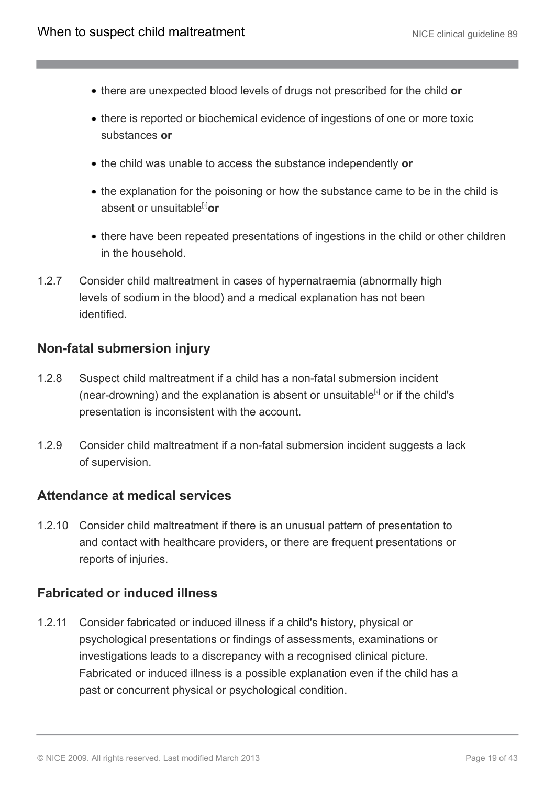- there are unexpected blood levels of drugs not prescribed for the child **or**
- there is reported or biochemical evidence of ingestions of one or more toxic substances **or**
- the child was unable to access the substance independently **or**
- the explanation for the poisoning or how the substance came to be in the child is absent or unsuitable[[4](#page-27-1)]**or**
- there have been repeated presentations of ingestions in the child or other children in the household.
- 1.2.7 Consider child maltreatment in cases of hypernatraemia (abnormally high levels of sodium in the blood) and a medical explanation has not been identified.

### **Non-fatal submersion injury**

- 1.2.8 Suspect child maltreatment if a child has a non-fatal submersion incident (near-drowning) and the explanation is absent or unsuitable $^{[4]}$  $^{[4]}$  $^{[4]}$  or if the child's presentation is inconsistent with the account.
- 1.2.9 Consider child maltreatment if a non-fatal submersion incident suggests a lack of supervision.

### **Attendance at medical services**

1.2.10 Consider child maltreatment if there is an unusual pattern of presentation to and contact with healthcare providers, or there are frequent presentations or reports of injuries.

### **Fabricated or induced illness**

1.2.11 Consider fabricated or induced illness if a child's history, physical or psychological presentations or findings of assessments, examinations or investigations leads to a discrepancy with a recognised clinical picture. Fabricated or induced illness is a possible explanation even if the child has a past or concurrent physical or psychological condition.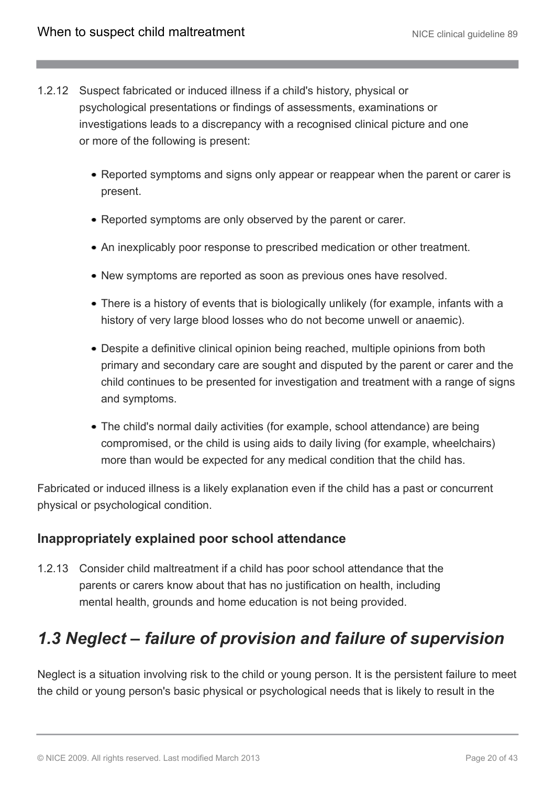- 1.2.12 Suspect fabricated or induced illness if a child's history, physical or psychological presentations or findings of assessments, examinations or investigations leads to a discrepancy with a recognised clinical picture and one or more of the following is present:
	- Reported symptoms and signs only appear or reappear when the parent or carer is present.
	- Reported symptoms are only observed by the parent or carer.
	- An inexplicably poor response to prescribed medication or other treatment.
	- New symptoms are reported as soon as previous ones have resolved.
	- There is a history of events that is biologically unlikely (for example, infants with a history of very large blood losses who do not become unwell or anaemic).
	- Despite a definitive clinical opinion being reached, multiple opinions from both primary and secondary care are sought and disputed by the parent or carer and the child continues to be presented for investigation and treatment with a range of signs and symptoms.
	- The child's normal daily activities (for example, school attendance) are being compromised, or the child is using aids to daily living (for example, wheelchairs) more than would be expected for any medical condition that the child has.

Fabricated or induced illness is a likely explanation even if the child has a past or concurrent physical or psychological condition.

### **Inappropriately explained poor school attendance**

1.2.13 Consider child maltreatment if a child has poor school attendance that the parents or carers know about that has no justification on health, including mental health, grounds and home education is not being provided.

# <span id="page-19-0"></span>*1.3 Neglect – failure of provision and failure of supervision*

Neglect is a situation involving risk to the child or young person. It is the persistent failure to meet the child or young person's basic physical or psychological needs that is likely to result in the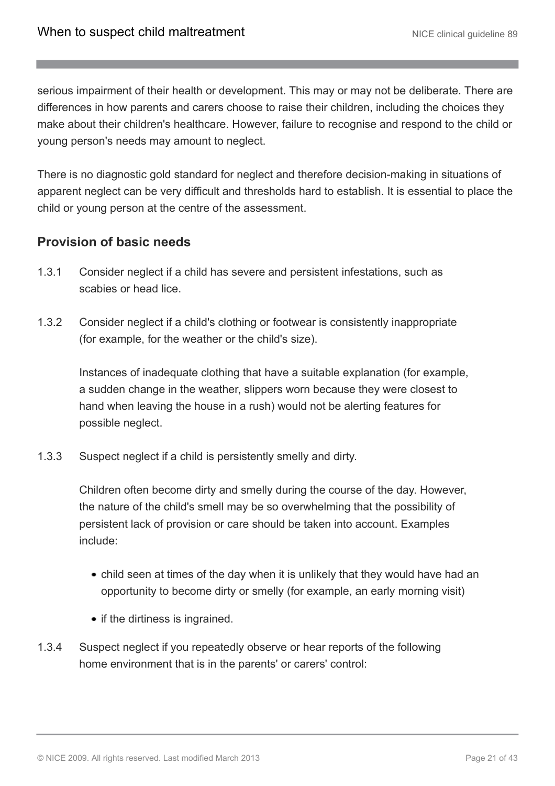serious impairment of their health or development. This may or may not be deliberate. There are differences in how parents and carers choose to raise their children, including the choices they make about their children's healthcare. However, failure to recognise and respond to the child or young person's needs may amount to neglect.

There is no diagnostic gold standard for neglect and therefore decision-making in situations of apparent neglect can be very difficult and thresholds hard to establish. It is essential to place the child or young person at the centre of the assessment.

## **Provision of basic needs**

- 1.3.1 Consider neglect if a child has severe and persistent infestations, such as scabies or head lice.
- 1.3.2 Consider neglect if a child's clothing or footwear is consistently inappropriate (for example, for the weather or the child's size).

Instances of inadequate clothing that have a suitable explanation (for example, a sudden change in the weather, slippers worn because they were closest to hand when leaving the house in a rush) would not be alerting features for possible neglect.

1.3.3 Suspect neglect if a child is persistently smelly and dirty.

Children often become dirty and smelly during the course of the day. However, the nature of the child's smell may be so overwhelming that the possibility of persistent lack of provision or care should be taken into account. Examples include:

- child seen at times of the day when it is unlikely that they would have had an opportunity to become dirty or smelly (for example, an early morning visit)
- if the dirtiness is ingrained.
- 1.3.4 Suspect neglect if you repeatedly observe or hear reports of the following home environment that is in the parents' or carers' control: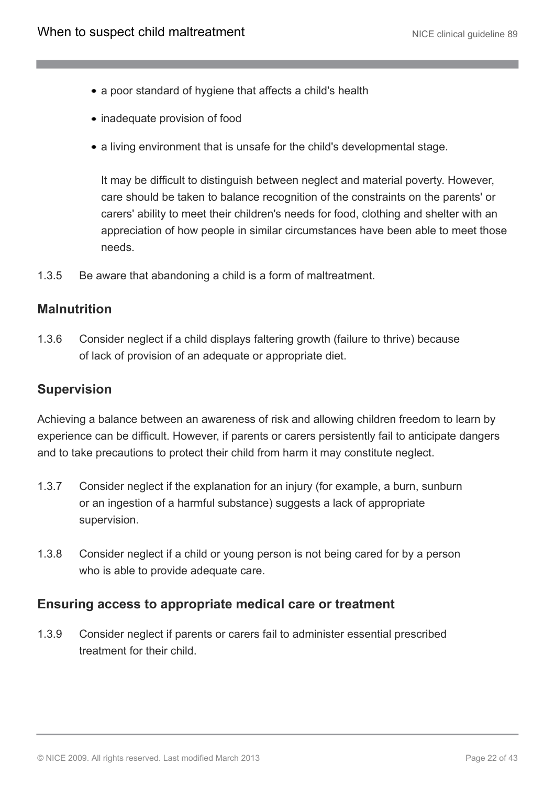- a poor standard of hygiene that affects a child's health
- inadequate provision of food
- a living environment that is unsafe for the child's developmental stage.

It may be difficult to distinguish between neglect and material poverty. However, care should be taken to balance recognition of the constraints on the parents' or carers' ability to meet their children's needs for food, clothing and shelter with an appreciation of how people in similar circumstances have been able to meet those needs.

1.3.5 Be aware that abandoning a child is a form of maltreatment.

### **Malnutrition**

1.3.6 Consider neglect if a child displays faltering growth (failure to thrive) because of lack of provision of an adequate or appropriate diet.

### **Supervision**

Achieving a balance between an awareness of risk and allowing children freedom to learn by experience can be difficult. However, if parents or carers persistently fail to anticipate dangers and to take precautions to protect their child from harm it may constitute neglect.

- 1.3.7 Consider neglect if the explanation for an injury (for example, a burn, sunburn or an ingestion of a harmful substance) suggests a lack of appropriate supervision.
- 1.3.8 Consider neglect if a child or young person is not being cared for by a person who is able to provide adequate care.

### **Ensuring access to appropriate medical care or treatment**

1.3.9 Consider neglect if parents or carers fail to administer essential prescribed treatment for their child.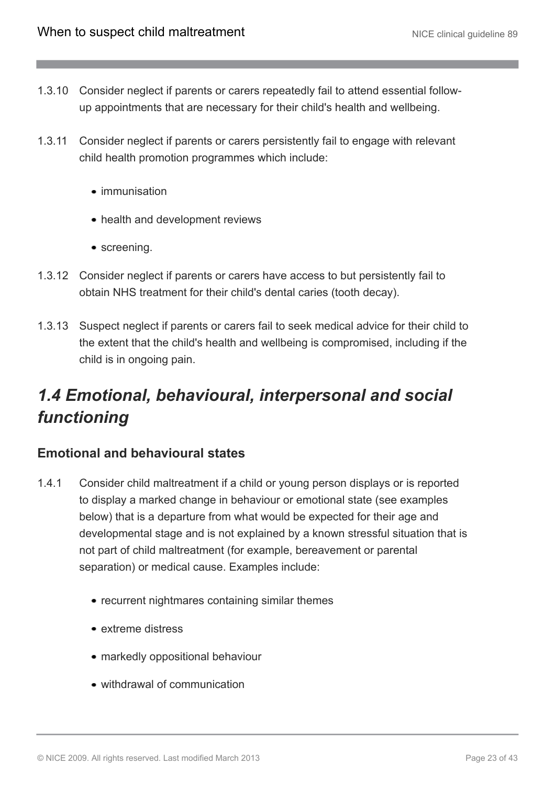- 1.3.10 Consider neglect if parents or carers repeatedly fail to attend essential followup appointments that are necessary for their child's health and wellbeing.
- 1.3.11 Consider neglect if parents or carers persistently fail to engage with relevant child health promotion programmes which include:
	- immunisation
	- health and development reviews
	- screening.
- 1.3.12 Consider neglect if parents or carers have access to but persistently fail to obtain NHS treatment for their child's dental caries (tooth decay).
- 1.3.13 Suspect neglect if parents or carers fail to seek medical advice for their child to the extent that the child's health and wellbeing is compromised, including if the child is in ongoing pain.

# <span id="page-22-0"></span>*1.4 Emotional, behavioural, interpersonal and social functioning*

### **Emotional and behavioural states**

- 1.4.1 Consider child maltreatment if a child or young person displays or is reported to display a marked change in behaviour or emotional state (see examples below) that is a departure from what would be expected for their age and developmental stage and is not explained by a known stressful situation that is not part of child maltreatment (for example, bereavement or parental separation) or medical cause. Examples include:
	- recurrent nightmares containing similar themes
	- extreme distress
	- markedly oppositional behaviour
	- withdrawal of communication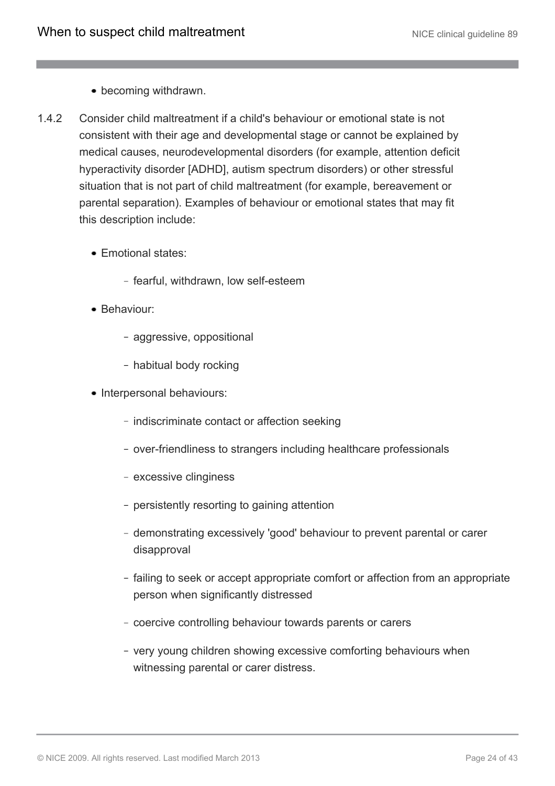- becoming withdrawn.
- 1.4.2 Consider child maltreatment if a child's behaviour or emotional state is not consistent with their age and developmental stage or cannot be explained by medical causes, neurodevelopmental disorders (for example, attention deficit hyperactivity disorder [ADHD], autism spectrum disorders) or other stressful situation that is not part of child maltreatment (for example, bereavement or parental separation). Examples of behaviour or emotional states that may fit this description include:
	- Emotional states:
		- fearful, withdrawn, low self-esteem
	- Behaviour:
		- aggressive, oppositional
		- habitual body rocking
	- Interpersonal behaviours:
		- indiscriminate contact or affection seeking
		- over-friendliness to strangers including healthcare professionals
		- excessive clinginess
		- persistently resorting to gaining attention
		- demonstrating excessively 'good' behaviour to prevent parental or carer disapproval
		- failing to seek or accept appropriate comfort or affection from an appropriate person when significantly distressed
		- coercive controlling behaviour towards parents or carers
		- very young children showing excessive comforting behaviours when witnessing parental or carer distress.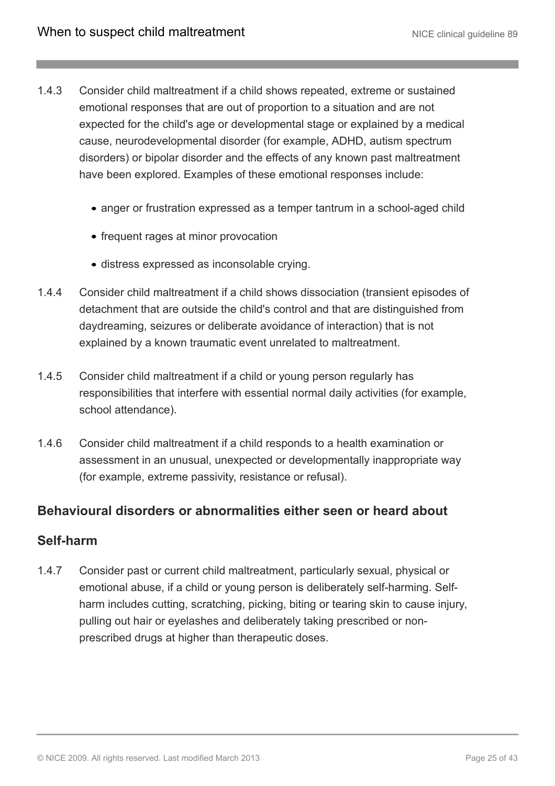- 1.4.3 Consider child maltreatment if a child shows repeated, extreme or sustained emotional responses that are out of proportion to a situation and are not expected for the child's age or developmental stage or explained by a medical cause, neurodevelopmental disorder (for example, ADHD, autism spectrum disorders) or bipolar disorder and the effects of any known past maltreatment have been explored. Examples of these emotional responses include:
	- anger or frustration expressed as a temper tantrum in a school-aged child
	- frequent rages at minor provocation
	- distress expressed as inconsolable crying.
- 1.4.4 Consider child maltreatment if a child shows dissociation (transient episodes of detachment that are outside the child's control and that are distinguished from daydreaming, seizures or deliberate avoidance of interaction) that is not explained by a known traumatic event unrelated to maltreatment.
- 1.4.5 Consider child maltreatment if a child or young person regularly has responsibilities that interfere with essential normal daily activities (for example, school attendance).
- 1.4.6 Consider child maltreatment if a child responds to a health examination or assessment in an unusual, unexpected or developmentally inappropriate way (for example, extreme passivity, resistance or refusal).

### **Behavioural disorders or abnormalities either seen or heard about**

### **Self-harm**

1.4.7 Consider past or current child maltreatment, particularly sexual, physical or emotional abuse, if a child or young person is deliberately self-harming. Selfharm includes cutting, scratching, picking, biting or tearing skin to cause injury, pulling out hair or eyelashes and deliberately taking prescribed or nonprescribed drugs at higher than therapeutic doses.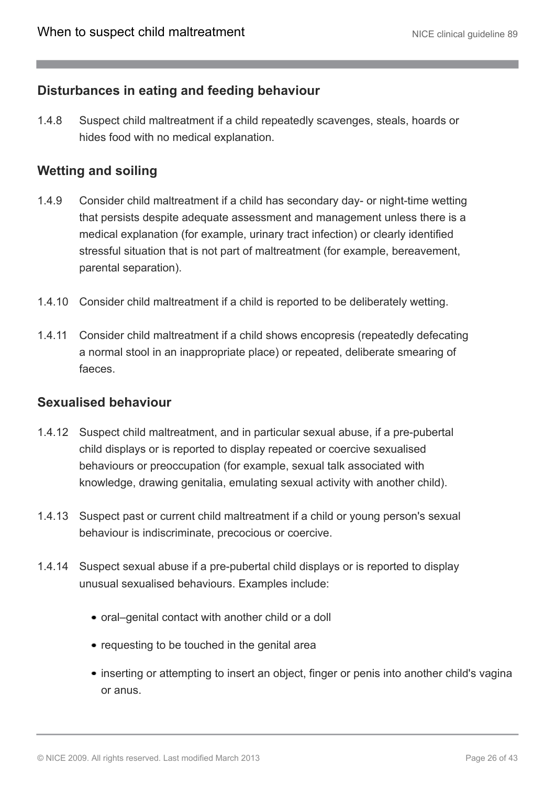### **Disturbances in eating and feeding behaviour**

1.4.8 Suspect child maltreatment if a child repeatedly scavenges, steals, hoards or hides food with no medical explanation.

### **Wetting and soiling**

- 1.4.9 Consider child maltreatment if a child has secondary day- or night-time wetting that persists despite adequate assessment and management unless there is a medical explanation (for example, urinary tract infection) or clearly identified stressful situation that is not part of maltreatment (for example, bereavement, parental separation).
- 1.4.10 Consider child maltreatment if a child is reported to be deliberately wetting.
- 1.4.11 Consider child maltreatment if a child shows encopresis (repeatedly defecating a normal stool in an inappropriate place) or repeated, deliberate smearing of faeces.

#### **Sexualised behaviour**

- 1.4.12 Suspect child maltreatment, and in particular sexual abuse, if a pre-pubertal child displays or is reported to display repeated or coercive sexualised behaviours or preoccupation (for example, sexual talk associated with knowledge, drawing genitalia, emulating sexual activity with another child).
- 1.4.13 Suspect past or current child maltreatment if a child or young person's sexual behaviour is indiscriminate, precocious or coercive.
- 1.4.14 Suspect sexual abuse if a pre-pubertal child displays or is reported to display unusual sexualised behaviours. Examples include:
	- oral–genital contact with another child or a doll
	- requesting to be touched in the genital area
	- inserting or attempting to insert an object, finger or penis into another child's vagina or anus.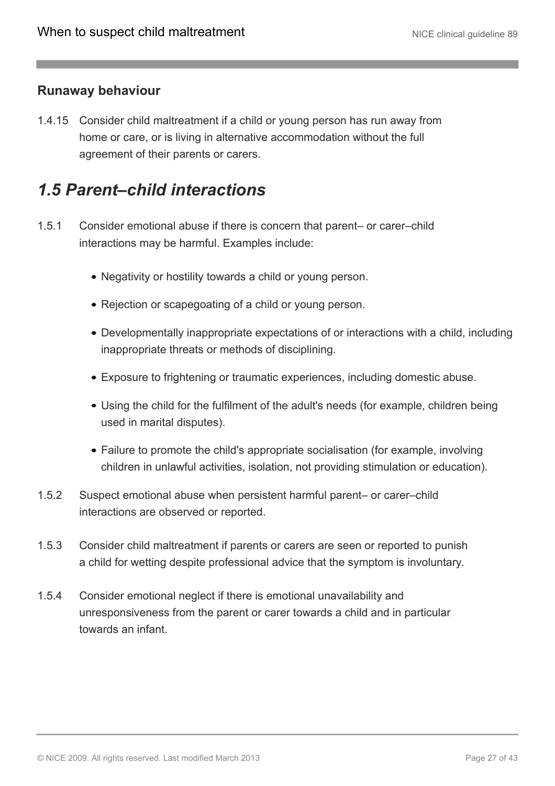### **Runaway behaviour**

1.4.15 Consider child maltreatment if a child or young person has run away from home or care, or is living in alternative accommodation without the full agreement of their parents or carers.

# <span id="page-26-0"></span>*1.5 Parent–child interactions*

- 1.5.1 Consider emotional abuse if there is concern that parent– or carer–child interactions may be harmful. Examples include:
	- Negativity or hostility towards a child or young person.
	- Rejection or scapegoating of a child or young person.
	- Developmentally inappropriate expectations of or interactions with a child, including inappropriate threats or methods of disciplining.
	- Exposure to frightening or traumatic experiences, including domestic abuse.
	- Using the child for the fulfilment of the adult's needs (for example, children being used in marital disputes).
	- Failure to promote the child's appropriate socialisation (for example, involving children in unlawful activities, isolation, not providing stimulation or education).
- 1.5.2 Suspect emotional abuse when persistent harmful parent– or carer–child interactions are observed or reported.
- 1.5.3 Consider child maltreatment if parents or carers are seen or reported to punish a child for wetting despite professional advice that the symptom is involuntary.
- 1.5.4 Consider emotional neglect if there is emotional unavailability and unresponsiveness from the parent or carer towards a child and in particular towards an infant.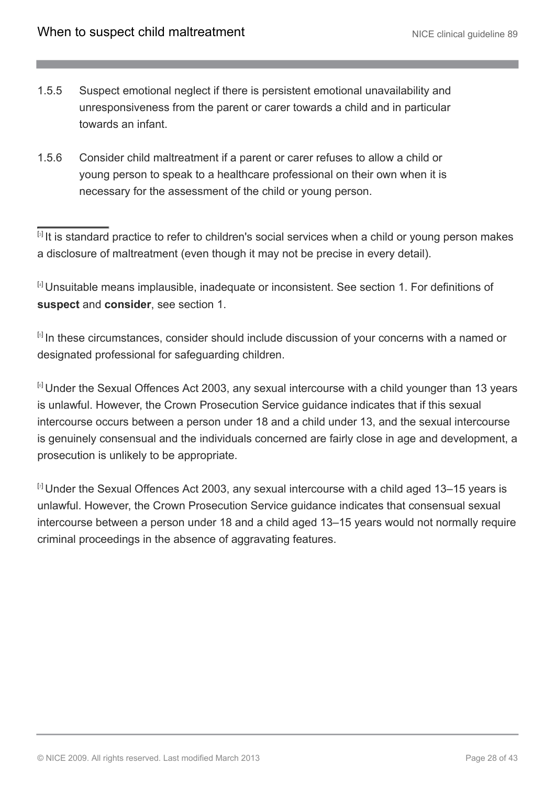- 1.5.5 Suspect emotional neglect if there is persistent emotional unavailability and unresponsiveness from the parent or carer towards a child and in particular towards an infant.
- 1.5.6 Consider child maltreatment if a parent or carer refuses to allow a child or young person to speak to a healthcare professional on their own when it is necessary for the assessment of the child or young person.

<span id="page-27-0"></span><sup>[[3](#page-8-1)]</sup> It is standard practice to refer to children's social services when a child or young person makes a disclosure of maltreatment (even though it may not be precise in every detail).

<span id="page-27-1"></span>[[4](#page-10-1)] Unsuitable means implausible, inadequate or inconsistent. See section 1. For definitions of **suspect** and **consider**, see section 1.

<span id="page-27-2"></span>[6] In these circumstances, consider should include discussion of your concerns with a named or designated professional for safeguarding children.

<span id="page-27-3"></span><sup>[[6](#page-17-1)]</sup> Under the Sexual Offences Act 2003, any sexual intercourse with a child younger than 13 years is unlawful. However, the Crown Prosecution Service guidance indicates that if this sexual intercourse occurs between a person under 18 and a child under 13, and the sexual intercourse is genuinely consensual and the individuals concerned are fairly close in age and development, a prosecution is unlikely to be appropriate.

<span id="page-27-4"></span> $\mathbb{F}$  Under the Sexual Offences Act 2003, any sexual intercourse with a child aged 13–15 years is unlawful. However, the Crown Prosecution Service guidance indicates that consensual sexual intercourse between a person under 18 and a child aged 13–15 years would not normally require criminal proceedings in the absence of aggravating features.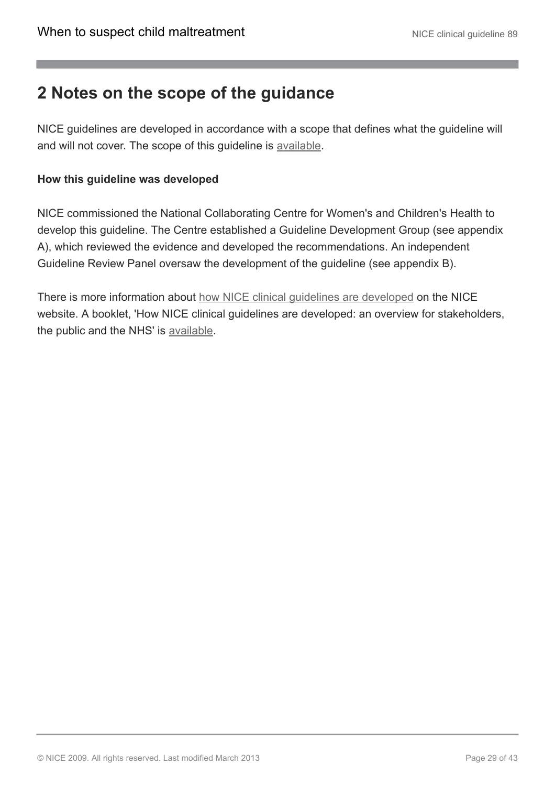# <span id="page-28-0"></span>**2 Notes on the scope of the guidance**

NICE guidelines are developed in accordance with a scope that defines what the guideline will and will not cover. The scope of this guideline is [available](http://www.nice.org.uk/guidance/index.jsp?action=download&o=35848).

### **How this guideline was developed**

NICE commissioned the National Collaborating Centre for Women's and Children's Health to develop this guideline. The Centre established a Guideline Development Group (see appendix A), which reviewed the evidence and developed the recommendations. An independent Guideline Review Panel oversaw the development of the guideline (see appendix B).

There is more information about [how NICE clinical guidelines are developed](http://www.nice.org.uk/HowWeWork) on the NICE website. A booklet, 'How NICE clinical guidelines are developed: an overview for stakeholders, the public and the NHS' is [available](http://www.nice.org.uk/aboutnice/howwework/developingniceclinicalguidelines/developing_nice_clinical_guidelines.jsp?domedia=1&mid=62F02D9B-19B9-E0B5-D4A26EC9A934FDC7).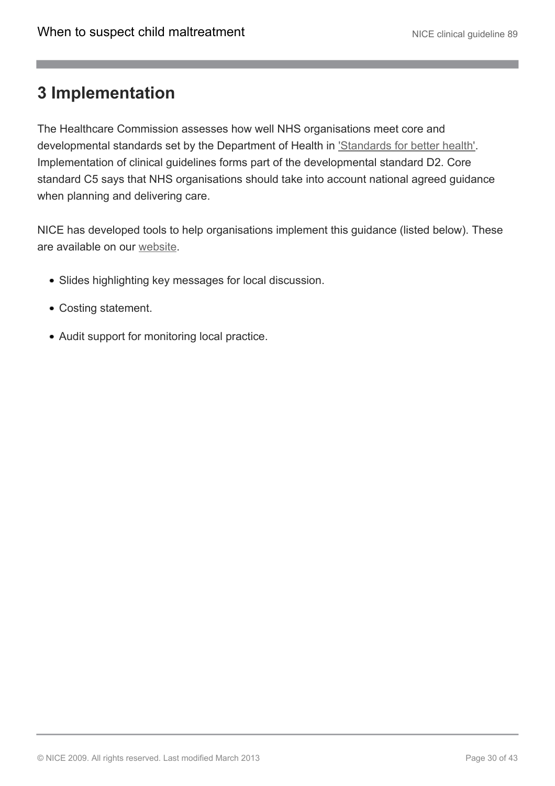# <span id="page-29-0"></span>**3 Implementation**

The Healthcare Commission assesses how well NHS organisations meet core and developmental standards set by the Department of Health in ['Standards for better health'.](http://www.dh.gov.uk/) Implementation of clinical guidelines forms part of the developmental standard D2. Core standard C5 says that NHS organisations should take into account national agreed guidance when planning and delivering care.

NICE has developed tools to help organisations implement this guidance (listed below). These are available on our [website](http://www.nice.org.uk/CG89).

- Slides highlighting key messages for local discussion.
- Costing statement.
- Audit support for monitoring local practice.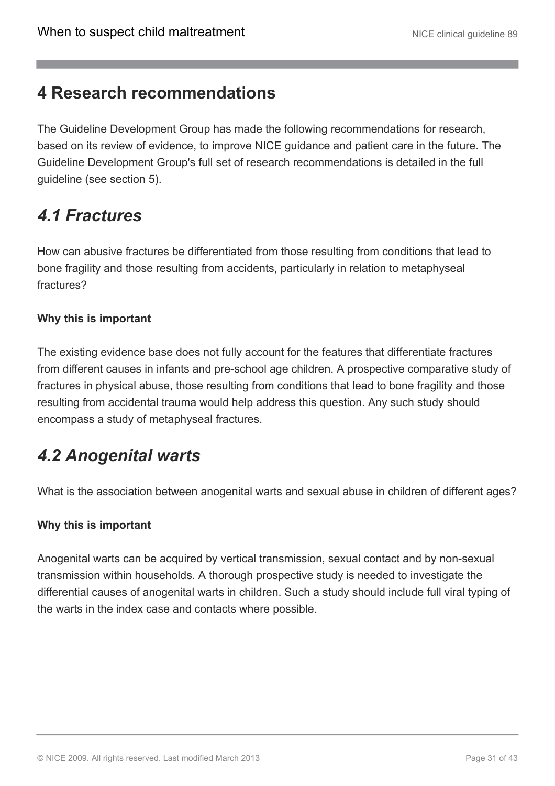# <span id="page-30-0"></span>**4 Research recommendations**

The Guideline Development Group has made the following recommendations for research, based on its review of evidence, to improve NICE guidance and patient care in the future. The Guideline Development Group's full set of research recommendations is detailed in the full guideline (see section 5).

# <span id="page-30-1"></span>*4.1 Fractures*

How can abusive fractures be differentiated from those resulting from conditions that lead to bone fragility and those resulting from accidents, particularly in relation to metaphyseal fractures?

### **Why this is important**

The existing evidence base does not fully account for the features that differentiate fractures from different causes in infants and pre-school age children. A prospective comparative study of fractures in physical abuse, those resulting from conditions that lead to bone fragility and those resulting from accidental trauma would help address this question. Any such study should encompass a study of metaphyseal fractures.

# <span id="page-30-2"></span>*4.2 Anogenital warts*

What is the association between anogenital warts and sexual abuse in children of different ages?

### **Why this is important**

Anogenital warts can be acquired by vertical transmission, sexual contact and by non-sexual transmission within households. A thorough prospective study is needed to investigate the differential causes of anogenital warts in children. Such a study should include full viral typing of the warts in the index case and contacts where possible.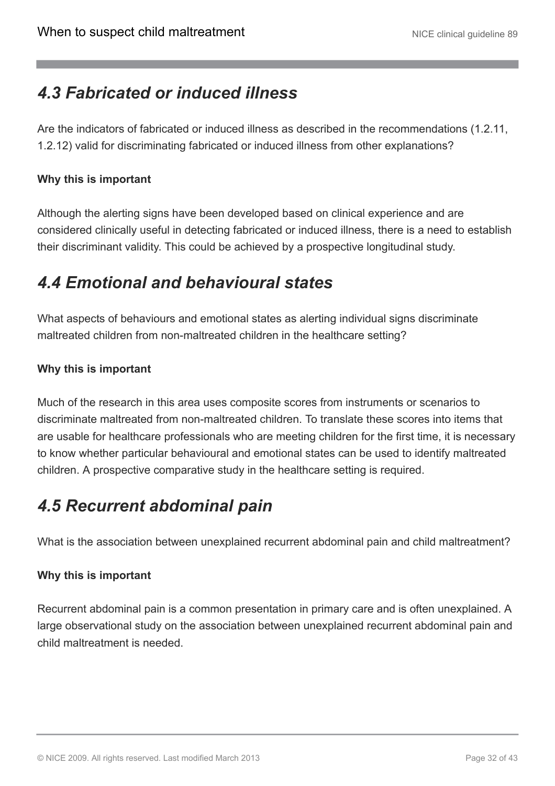# <span id="page-31-0"></span>*4.3 Fabricated or induced illness*

Are the indicators of fabricated or induced illness as described in the recommendations (1.2.11, 1.2.12) valid for discriminating fabricated or induced illness from other explanations?

### **Why this is important**

Although the alerting signs have been developed based on clinical experience and are considered clinically useful in detecting fabricated or induced illness, there is a need to establish their discriminant validity. This could be achieved by a prospective longitudinal study.

# <span id="page-31-1"></span>*4.4 Emotional and behavioural states*

What aspects of behaviours and emotional states as alerting individual signs discriminate maltreated children from non-maltreated children in the healthcare setting?

### **Why this is important**

Much of the research in this area uses composite scores from instruments or scenarios to discriminate maltreated from non-maltreated children. To translate these scores into items that are usable for healthcare professionals who are meeting children for the first time, it is necessary to know whether particular behavioural and emotional states can be used to identify maltreated children. A prospective comparative study in the healthcare setting is required.

# <span id="page-31-2"></span>*4.5 Recurrent abdominal pain*

What is the association between unexplained recurrent abdominal pain and child maltreatment?

### **Why this is important**

Recurrent abdominal pain is a common presentation in primary care and is often unexplained. A large observational study on the association between unexplained recurrent abdominal pain and child maltreatment is needed.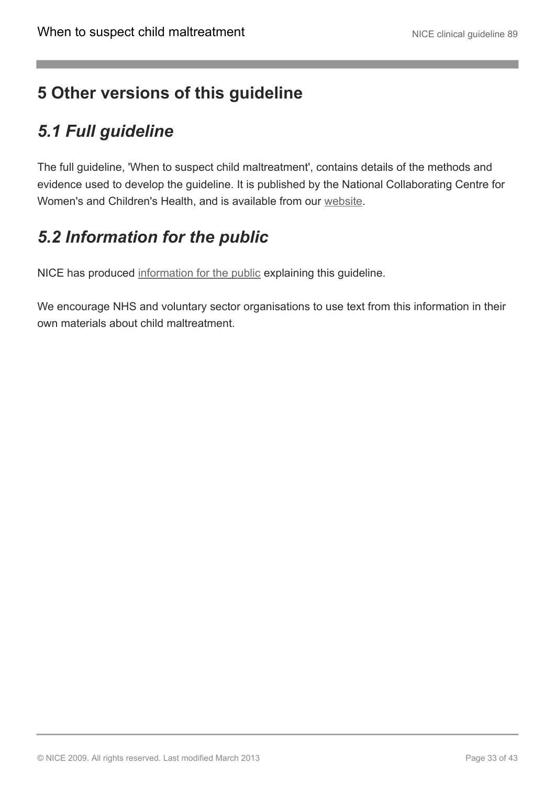# <span id="page-32-0"></span>**5 Other versions of this guideline**

# <span id="page-32-1"></span>*5.1 Full guideline*

The full guideline, 'When to suspect child maltreatment', contains details of the methods and evidence used to develop the guideline. It is published by the National Collaborating Centre for Women's and Children's Health, and is available from our [website.](http://www.nice.org.uk/CG89fullguideline)

# <span id="page-32-2"></span>*5.2 Information for the public*

NICE has produced [information for the public](http://publications.nice.org.uk/IFP89) explaining this guideline.

We encourage NHS and voluntary sector organisations to use text from this information in their own materials about child maltreatment.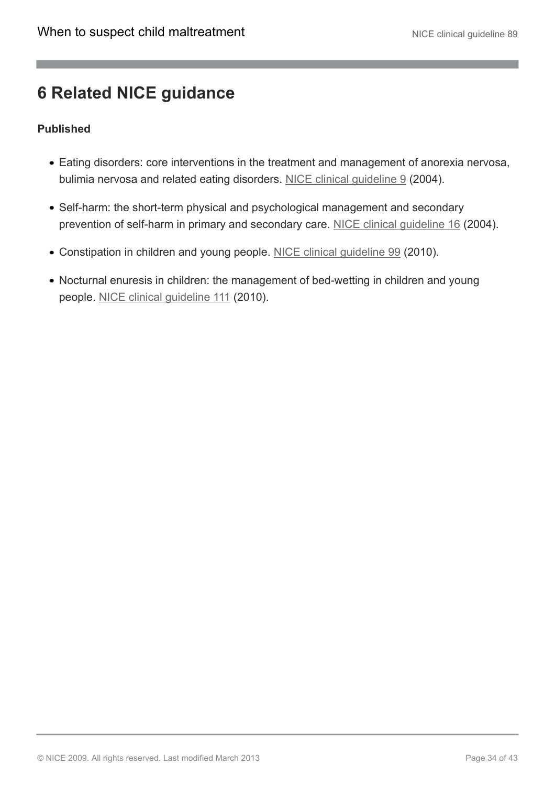# <span id="page-33-0"></span>**6 Related NICE guidance**

### **Published**

- Eating disorders: core interventions in the treatment and management of anorexia nervosa, bulimia nervosa and related eating disorders. NICE clinical quideline 9 (2004).
- Self-harm: the short-term physical and psychological management and secondary prevention of self-harm in primary and secondary care. [NICE clinical guideline 16](http://www.nice.org.uk/CG16) (2004).
- Constipation in children and young people. [NICE clinical guideline 99](http://www.nice.org.uk/CG99) (2010).
- Nocturnal enuresis in children: the management of bed-wetting in children and young people. [NICE clinical guideline 111](http://www.nice.org.uk/CG111) (2010).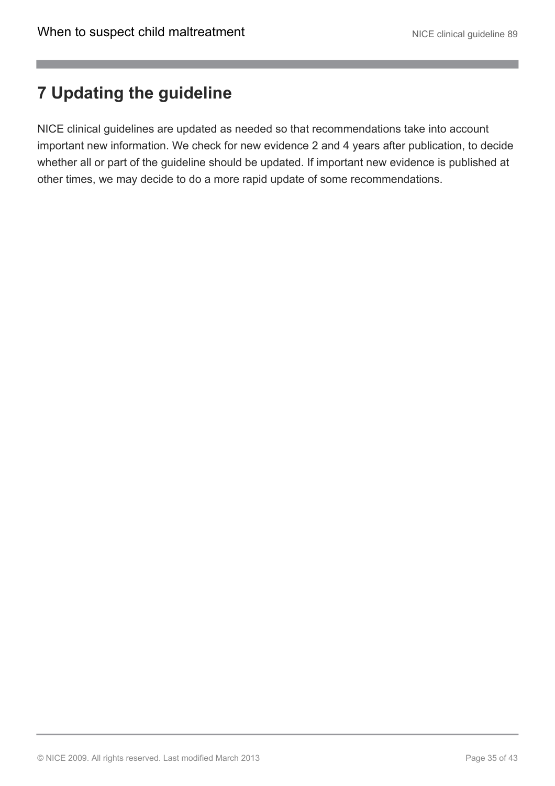# <span id="page-34-0"></span>**7 Updating the guideline**

NICE clinical guidelines are updated as needed so that recommendations take into account important new information. We check for new evidence 2 and 4 years after publication, to decide whether all or part of the guideline should be updated. If important new evidence is published at other times, we may decide to do a more rapid update of some recommendations.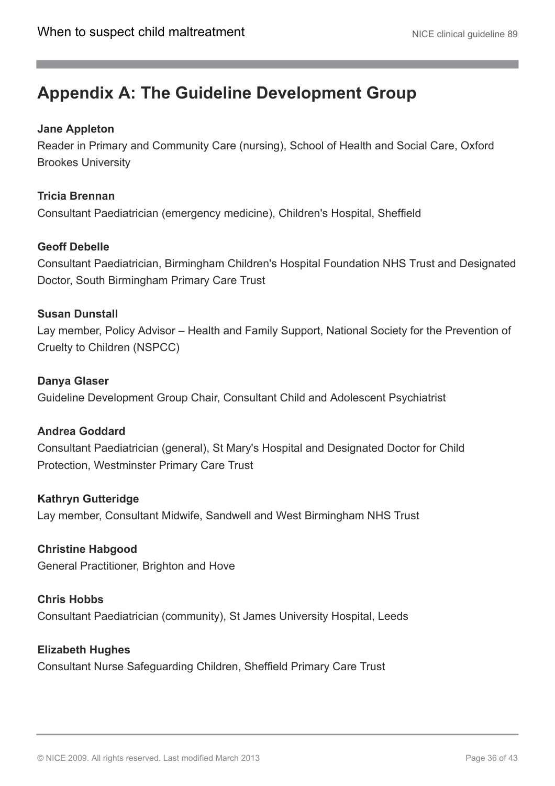# <span id="page-35-0"></span>**Appendix A: The Guideline Development Group**

### **Jane Appleton**

Reader in Primary and Community Care (nursing), School of Health and Social Care, Oxford Brookes University

### **Tricia Brennan**

Consultant Paediatrician (emergency medicine), Children's Hospital, Sheffield

### **Geoff Debelle**

Consultant Paediatrician, Birmingham Children's Hospital Foundation NHS Trust and Designated Doctor, South Birmingham Primary Care Trust

### **Susan Dunstall**

Lay member, Policy Advisor – Health and Family Support, National Society for the Prevention of Cruelty to Children (NSPCC)

### **Danya Glaser**

Guideline Development Group Chair, Consultant Child and Adolescent Psychiatrist

### **Andrea Goddard**

Consultant Paediatrician (general), St Mary's Hospital and Designated Doctor for Child Protection, Westminster Primary Care Trust

### **Kathryn Gutteridge**

Lay member, Consultant Midwife, Sandwell and West Birmingham NHS Trust

**Christine Habgood** General Practitioner, Brighton and Hove

### **Chris Hobbs** Consultant Paediatrician (community), St James University Hospital, Leeds

#### **Elizabeth Hughes**

Consultant Nurse Safeguarding Children, Sheffield Primary Care Trust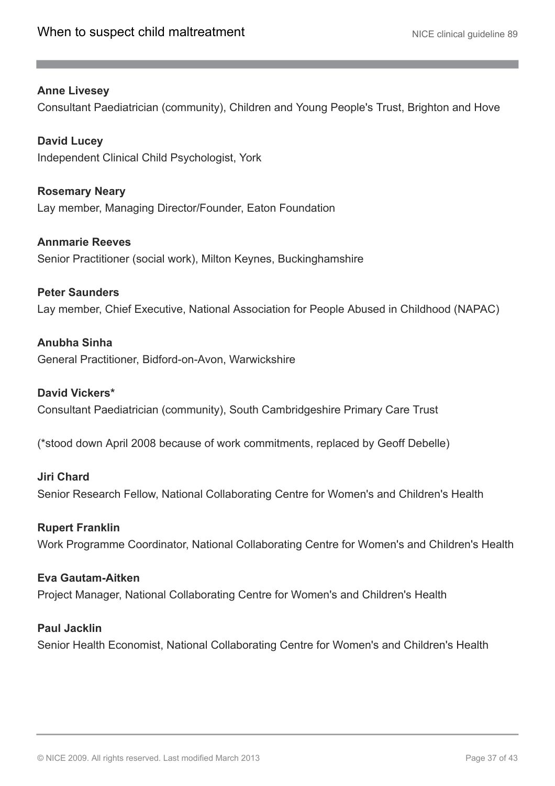#### **Anne Livesey**

Consultant Paediatrician (community), Children and Young People's Trust, Brighton and Hove

**David Lucey** Independent Clinical Child Psychologist, York

**Rosemary Neary** Lay member, Managing Director/Founder, Eaton Foundation

**Annmarie Reeves** Senior Practitioner (social work), Milton Keynes, Buckinghamshire

**Peter Saunders** Lay member, Chief Executive, National Association for People Abused in Childhood (NAPAC)

**Anubha Sinha** General Practitioner, Bidford-on-Avon, Warwickshire

#### **David Vickers\***

Consultant Paediatrician (community), South Cambridgeshire Primary Care Trust

(\*stood down April 2008 because of work commitments, replaced by Geoff Debelle)

**Jiri Chard** Senior Research Fellow, National Collaborating Centre for Women's and Children's Health

#### **Rupert Franklin**

Work Programme Coordinator, National Collaborating Centre for Women's and Children's Health

**Eva Gautam-Aitken**

Project Manager, National Collaborating Centre for Women's and Children's Health

#### **Paul Jacklin**

Senior Health Economist, National Collaborating Centre for Women's and Children's Health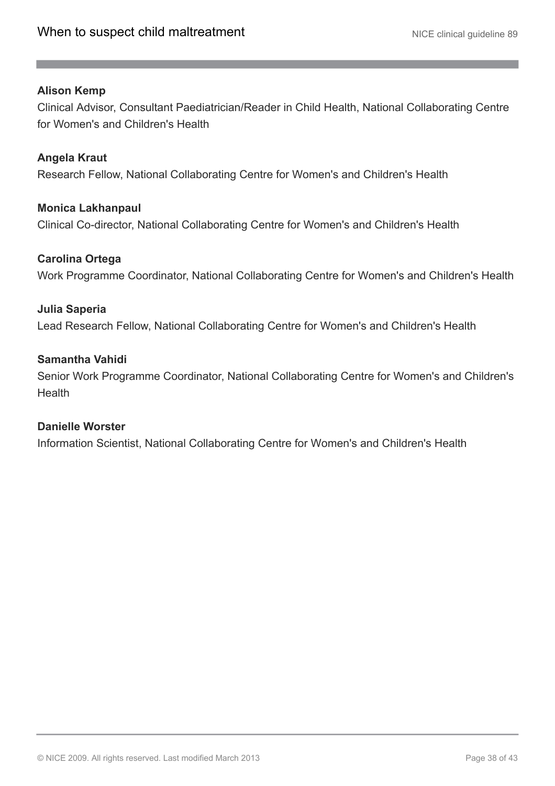#### **Alison Kemp**

Clinical Advisor, Consultant Paediatrician/Reader in Child Health, National Collaborating Centre for Women's and Children's Health

#### **Angela Kraut**

Research Fellow, National Collaborating Centre for Women's and Children's Health

#### **Monica Lakhanpaul**

Clinical Co-director, National Collaborating Centre for Women's and Children's Health

#### **Carolina Ortega**

Work Programme Coordinator, National Collaborating Centre for Women's and Children's Health

#### **Julia Saperia**

Lead Research Fellow, National Collaborating Centre for Women's and Children's Health

#### **Samantha Vahidi**

Senior Work Programme Coordinator, National Collaborating Centre for Women's and Children's **Health** 

#### **Danielle Worster**

Information Scientist, National Collaborating Centre for Women's and Children's Health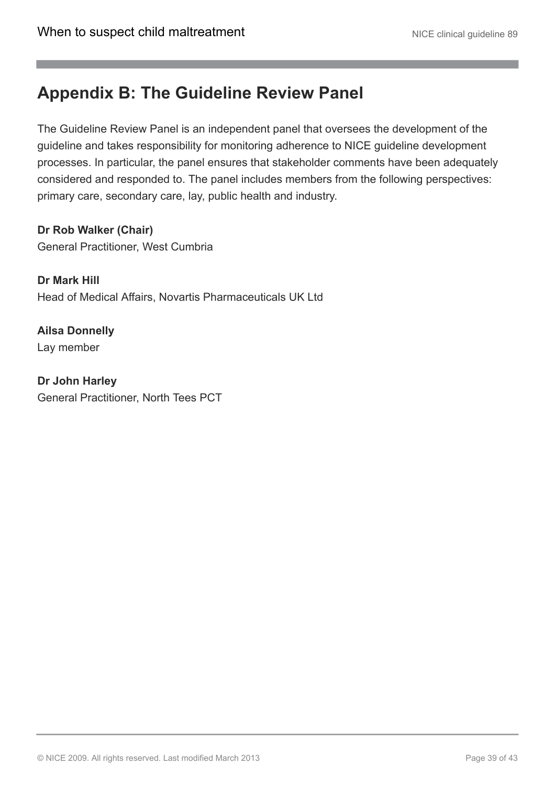# <span id="page-38-0"></span>**Appendix B: The Guideline Review Panel**

The Guideline Review Panel is an independent panel that oversees the development of the guideline and takes responsibility for monitoring adherence to NICE guideline development processes. In particular, the panel ensures that stakeholder comments have been adequately considered and responded to. The panel includes members from the following perspectives: primary care, secondary care, lay, public health and industry.

**Dr Rob Walker (Chair)** General Practitioner, West Cumbria

**Dr Mark Hill** Head of Medical Affairs, Novartis Pharmaceuticals UK Ltd

**Ailsa Donnelly** Lay member

**Dr John Harley** General Practitioner, North Tees PCT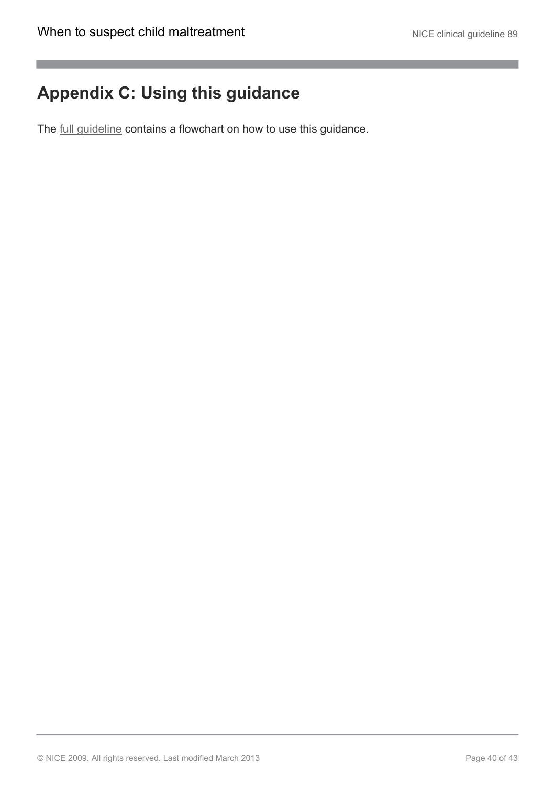# <span id="page-39-0"></span>**Appendix C: Using this guidance**

The [full guideline](http://guidance.nice.org.uk/CG89/Guidance/pdf/English) contains a flowchart on how to use this guidance.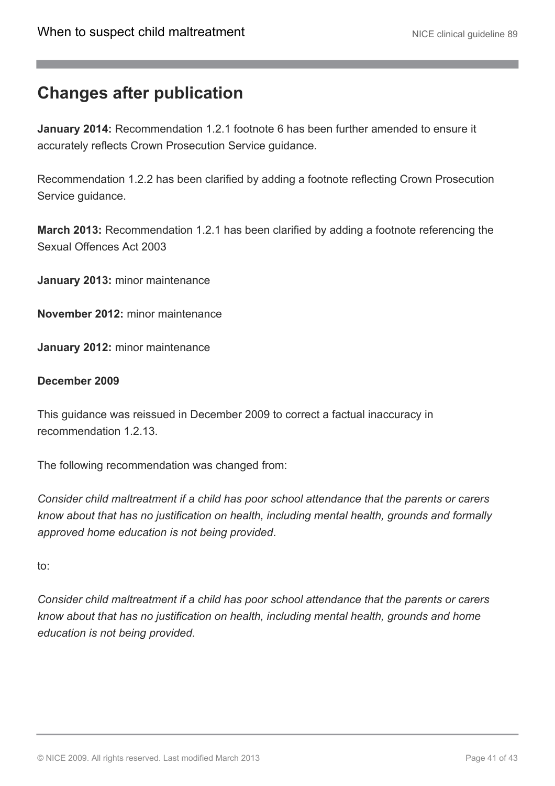# <span id="page-40-0"></span>**Changes after publication**

**January 2014:** Recommendation 1.2.1 footnote 6 has been further amended to ensure it accurately reflects Crown Prosecution Service guidance.

Recommendation 1.2.2 has been clarified by adding a footnote reflecting Crown Prosecution Service guidance.

**March 2013:** Recommendation 1.2.1 has been clarified by adding a footnote referencing the Sexual Offences Act 2003

**January 2013:** minor maintenance

**November 2012:** minor maintenance

**January 2012:** minor maintenance

#### **December 2009**

This guidance was reissued in December 2009 to correct a factual inaccuracy in recommendation 1.2.13.

The following recommendation was changed from:

*Consider child maltreatment if a child has poor school attendance that the parents or carers know about that has no justification on health, including mental health, grounds and formally approved home education is not being provided*.

to:

*Consider child maltreatment if a child has poor school attendance that the parents or carers know about that has no justification on health, including mental health, grounds and home education is not being provided.*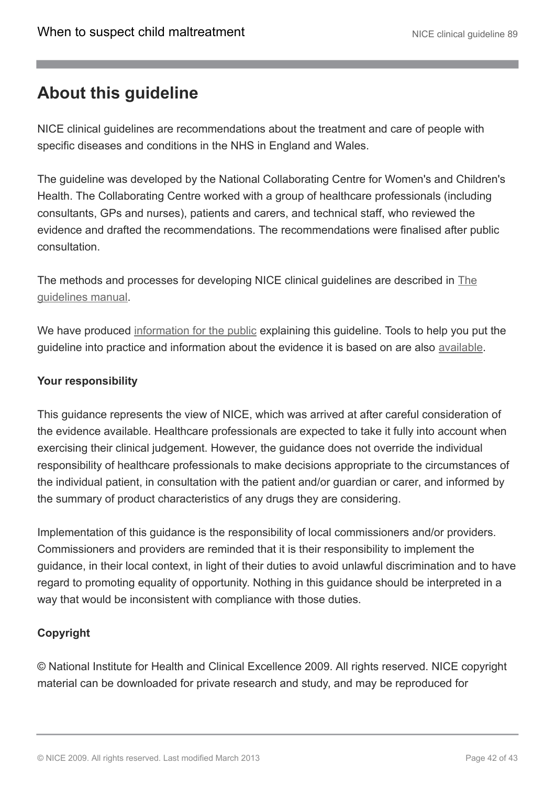# <span id="page-41-0"></span>**About this guideline**

NICE clinical guidelines are recommendations about the treatment and care of people with specific diseases and conditions in the NHS in England and Wales.

The guideline was developed by the National Collaborating Centre for Women's and Children's Health. The Collaborating Centre worked with a group of healthcare professionals (including consultants, GPs and nurses), patients and carers, and technical staff, who reviewed the evidence and drafted the recommendations. The recommendations were finalised after public consultation.

The methods and processes for developing NICE clinical guidelines are described in [The](http://www.nice.org.uk/aboutnice/howwework/developingniceclinicalguidelines/clinicalguidelinedevelopmentmethods/clinical_guideline_development_methods.jsp) [guidelines manual.](http://www.nice.org.uk/aboutnice/howwework/developingniceclinicalguidelines/clinicalguidelinedevelopmentmethods/clinical_guideline_development_methods.jsp)

We have produced [information for the public](http://publications.nice.org.uk/IFP89) explaining this guideline. Tools to help you put the guideline into practice and information about the evidence it is based on are also [available.](http://guidance.nice.org.uk/CG89)

### **Your responsibility**

This guidance represents the view of NICE, which was arrived at after careful consideration of the evidence available. Healthcare professionals are expected to take it fully into account when exercising their clinical judgement. However, the guidance does not override the individual responsibility of healthcare professionals to make decisions appropriate to the circumstances of the individual patient, in consultation with the patient and/or guardian or carer, and informed by the summary of product characteristics of any drugs they are considering.

Implementation of this guidance is the responsibility of local commissioners and/or providers. Commissioners and providers are reminded that it is their responsibility to implement the guidance, in their local context, in light of their duties to avoid unlawful discrimination and to have regard to promoting equality of opportunity. Nothing in this guidance should be interpreted in a way that would be inconsistent with compliance with those duties.

### **Copyright**

© National Institute for Health and Clinical Excellence 2009. All rights reserved. NICE copyright material can be downloaded for private research and study, and may be reproduced for